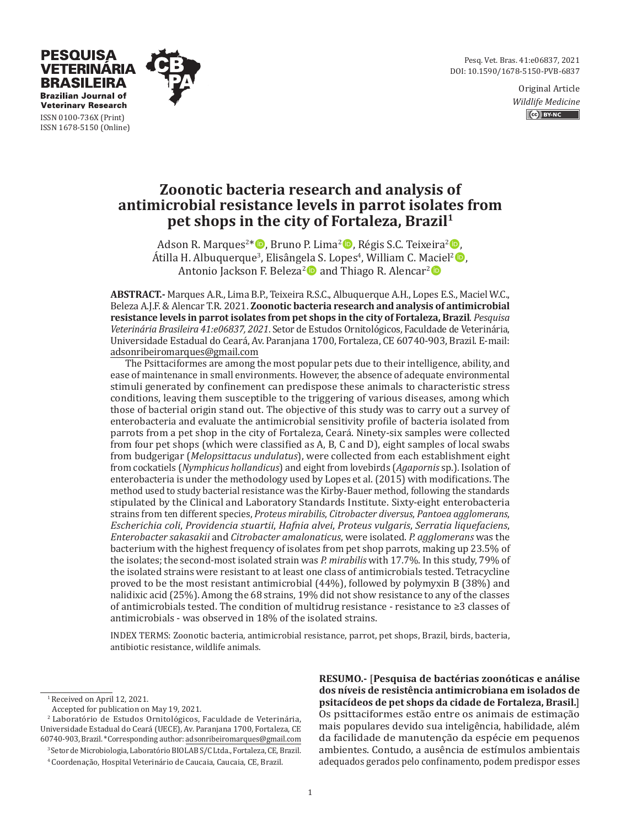Pesq. Vet. Bras. 41:e06837, 2021 DOI: 10.1590/1678-5150-PVB-6837

> Original Article *Wildlife Medicine* CG BY-NC



**Veterinary Research** ISSN 0100-736X (Print) ISSN 1678-5150 (Online)

PESOUISA **VETERINARIA BRASILEIRA Brazilian Journal of** 

# **Zoonotic bacteria research and analysis of antimicrobial resistance levels in parrot isolates from pet shops in the city of Fortaleza, Brazil1**

Adson R. Marques<sup>2\*</sup> D, Bruno P. Lima<sup>2</sup> D, Régis S.C. Teixeira<sup>2</sup> D, Átilla H. Albuquerque<sup>3</sup>, Elisângela S. Lopes<sup>4</sup>, William C. Maciel<sup>2</sup> D. Antonio Jackson F. Beleza<sup>2</sup> and Thiago R. Alencar<sup>2</sup>

**ABSTRACT.-** Marques A.R., Lima B.P., Teixeira R.S.C., Albuquerque A.H., Lopes E.S., Maciel W.C., Beleza A.J.F. & Alencar T.R. 2021. **Zoonotic bacteria research and analysis of antimicrobial resistance levels in parrot isolates from pet shops in the city of Fortaleza, Brazil**. *Pesquisa Veterinária Brasileira 41:e06837, 2021*. Setor de Estudos Ornitológicos, Faculdade de Veterinária, Universidade Estadual do Ceará, Av. Paranjana 1700, Fortaleza, CE 60740-903, Brazil. E-mail: adsonribeiromarques@gmail.com

The Psittaciformes are among the most popular pets due to their intelligence, ability, and ease of maintenance in small environments. However, the absence of adequate environmental stimuli generated by confinement can predispose these animals to characteristic stress conditions, leaving them susceptible to the triggering of various diseases, among which those of bacterial origin stand out. The objective of this study was to carry out a survey of enterobacteria and evaluate the antimicrobial sensitivity profile of bacteria isolated from parrots from a pet shop in the city of Fortaleza, Ceará. Ninety-six samples were collected from four pet shops (which were classified as A, B, C and D), eight samples of local swabs from budgerigar (*Melopsittacus undulatus*), were collected from each establishment eight from cockatiels (*Nymphicus hollandicus*) and eight from lovebirds (*Agapornis* sp.). Isolation of enterobacteria is under the methodology used by Lopes et al. (2015) with modifications. The method used to study bacterial resistance was the Kirby-Bauer method, following the standards stipulated by the Clinical and Laboratory Standards Institute. Sixty-eight enterobacteria strains from ten different species, *Proteus mirabilis*, *Citrobacter diversus*, *Pantoea agglomerans*, *Escherichia coli*, *Providencia stuartii*, *Hafnia alvei*, *Proteus vulgaris*, *Serratia liquefaciens*, *Enterobacter sakasakii* and *Citrobacter amalonaticus*, were isolated. *P. agglomerans* was the bacterium with the highest frequency of isolates from pet shop parrots, making up 23.5% of the isolates; the second-most isolated strain was *P. mirabilis* with 17.7%. In this study, 79% of the isolated strains were resistant to at least one class of antimicrobials tested. Tetracycline proved to be the most resistant antimicrobial (44%), followed by polymyxin B (38%) and nalidixic acid (25%). Among the 68 strains, 19% did not show resistance to any of the classes of antimicrobials tested. The condition of multidrug resistance - resistance to ≥3 classes of antimicrobials - was observed in 18% of the isolated strains.

INDEX TERMS: Zoonotic bacteria, antimicrobial resistance, parrot, pet shops, Brazil, birds, bacteria, antibiotic resistance, wildlife animals.

3 Setor de Microbiologia, Laboratório BIOLAB S/C Ltda., Fortaleza, CE, Brazil.

**RESUMO.-** [**Pesquisa de bactérias zoonóticas e análise dos níveis de resistência antimicrobiana em isolados de psitacídeos de pet shops da cidade de Fortaleza, Brasil.**] Os psittaciformes estão entre os animais de estimação mais populares devido sua inteligência, habilidade, além da facilidade de manutenção da espécie em pequenos ambientes. Contudo, a ausência de estímulos ambientais adequados gerados pelo confinamento, podem predispor esses

<sup>&</sup>lt;sup>1</sup> Received on April 12, 2021.

Accepted for publication on May 19, 2021.

<sup>2</sup> Laboratório de Estudos Ornitológicos, Faculdade de Veterinária, Universidade Estadual do Ceará (UECE), Av. Paranjana 1700, Fortaleza, CE 60740-903, Brazil. \*Corresponding author: adsonribeiromarques@gmail.com

<sup>4</sup> Coordenação, Hospital Veterinário de Caucaia, Caucaia, CE, Brazil.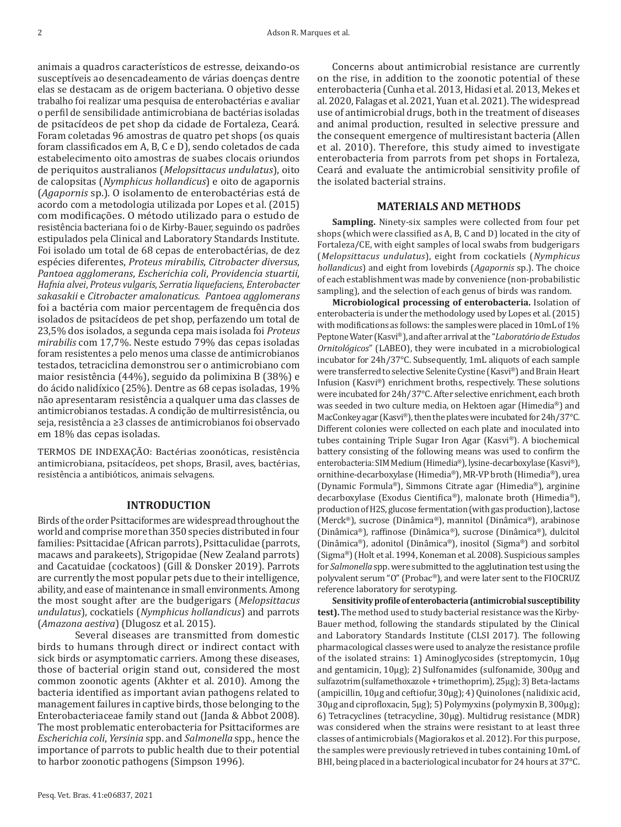animais a quadros característicos de estresse, deixando-os susceptíveis ao desencadeamento de várias doenças dentre elas se destacam as de origem bacteriana. O objetivo desse trabalho foi realizar uma pesquisa de enterobactérias e avaliar o perfil de sensibilidade antimicrobiana de bactérias isoladas de psitacídeos de pet shop da cidade de Fortaleza, Ceará. Foram coletadas 96 amostras de quatro pet shops (os quais foram classificados em A, B, C e D), sendo coletados de cada estabelecimento oito amostras de suabes clocais oriundos de periquitos australianos (*Melopsittacus undulatus*), oito de calopsitas (*Nymphicus hollandicus*) e oito de agapornis (*Agapornis* sp.). O isolamento de enterobactérias está de acordo com a metodologia utilizada por Lopes et al. (2015) com modificações. O método utilizado para o estudo de resistência bacteriana foi o de Kirby-Bauer, seguindo os padrões estipulados pela Clinical and Laboratory Standards Institute. Foi isolado um total de 68 cepas de enterobactérias, de dez espécies diferentes, *Proteus mirabilis*, *Citrobacter diversus*, *Pantoea agglomerans*, *Escherichia coli*, *Providencia stuartii*, *Hafnia alvei*, *Proteus vulgaris*, *Serratia liquefaciens*, *Enterobacter sakasakii* e *Citrobacter amalonaticus. Pantoea agglomerans* foi a bactéria com maior percentagem de frequência dos isolados de psitacídeos de pet shop, perfazendo um total de 23,5% dos isolados, a segunda cepa mais isolada foi *Proteus mirabilis* com 17,7%. Neste estudo 79% das cepas isoladas foram resistentes a pelo menos uma classe de antimicrobianos testados, tetraciclina demonstrou ser o antimicrobiano com maior resistência (44%), seguido da polimixina B (38%) e do ácido nalidíxico (25%). Dentre as 68 cepas isoladas, 19% não apresentaram resistência a qualquer uma das classes de antimicrobianos testadas. A condição de multirresistência, ou seja, resistência a ≥3 classes de antimicrobianos foi observado em 18% das cepas isoladas.

TERMOS DE INDEXAÇÃO: Bactérias zoonóticas, resistência antimicrobiana, psitacídeos, pet shops, Brasil, aves, bactérias, resistência a antibióticos, animais selvagens.

# **INTRODUCTION**

Birds of the order Psittaciformes are widespread throughout the world and comprise more than 350 species distributed in four families: Psittacidae (African parrots), Psittaculidae (parrots, macaws and parakeets), Strigopidae (New Zealand parrots) and Cacatuidae (cockatoos) (Gill & Donsker 2019). Parrots are currently the most popular pets due to their intelligence, ability, and ease of maintenance in small environments. Among the most sought after are the budgerigars (*Melopsittacus undulatus*), cockatiels (*Nymphicus hollandicus*) and parrots (*Amazona aestiva*) (Dlugosz et al. 2015).

Several diseases are transmitted from domestic birds to humans through direct or indirect contact with sick birds or asymptomatic carriers. Among these diseases, those of bacterial origin stand out, considered the most common zoonotic agents (Akhter et al. 2010). Among the bacteria identified as important avian pathogens related to management failures in captive birds, those belonging to the Enterobacteriaceae family stand out (Janda & Abbot 2008). The most problematic enterobacteria for Psittaciformes are *Escherichia coli*, *Yersinia* spp. and *Salmonella* spp., hence the importance of parrots to public health due to their potential to harbor zoonotic pathogens (Simpson 1996).

Concerns about antimicrobial resistance are currently on the rise, in addition to the zoonotic potential of these enterobacteria (Cunha et al. 2013, Hidasi et al. 2013, Mekes et al. 2020, Falagas et al. 2021, Yuan et al. 2021). The widespread use of antimicrobial drugs, both in the treatment of diseases and animal production, resulted in selective pressure and the consequent emergence of multiresistant bacteria (Allen et al. 2010). Therefore, this study aimed to investigate enterobacteria from parrots from pet shops in Fortaleza, Ceará and evaluate the antimicrobial sensitivity profile of the isolated bacterial strains.

## **MATERIALS AND METHODS**

**Sampling.** Ninety-six samples were collected from four pet shops (which were classified as A, B, C and D) located in the city of Fortaleza/CE, with eight samples of local swabs from budgerigars (*Melopsittacus undulatus*), eight from cockatiels (*Nymphicus hollandicus*) and eight from lovebirds (*Agapornis* sp.). The choice of each establishment was made by convenience (non-probabilistic sampling), and the selection of each genus of birds was random.

**Microbiological processing of enterobacteria.** Isolation of enterobacteria is under the methodology used by Lopes et al. (2015) with modifications as follows: the samples were placed in 10mL of 1% Peptone Water (Kasvi®), and after arrival at the "*Laboratório de Estudos Ornitológicos*" (LABEO), they were incubated in a microbiological incubator for 24h/37°C. Subsequently, 1mL aliquots of each sample were transferred to selective Selenite Cystine (Kasvi®) and Brain Heart Infusion (Kasvi®) enrichment broths, respectively. These solutions were incubated for 24h/37°C. After selective enrichment, each broth was seeded in two culture media, on Hektoen agar (Himedia®) and MacConkey agar (Kasvi®), then the plates were incubated for 24h/37°C. Different colonies were collected on each plate and inoculated into tubes containing Triple Sugar Iron Agar (Kasvi®). A biochemical battery consisting of the following means was used to confirm the enterobacteria: SIM Medium (Himedia®), lysine-decarboxylase (Kasvi®), ornithine-decarboxylase (Himedia®), MR-VP broth (Himedia®), urea (Dynamic Formula®), Simmons Citrate agar (Himedia®), arginine decarboxylase (Exodus Cientifica®), malonate broth (Himedia®), production of H2S, glucose fermentation (with gas production), lactose (Merck®), sucrose (Dinâmica®), mannitol (Dinâmica®), arabinose (Dinâmica®), raffinose (Dinâmica®), sucrose (Dinâmica®), dulcitol (Dinâmica®), adonitol (Dinâmica®), inositol (Sigma®) and sorbitol (Sigma®) (Holt et al. 1994, Koneman et al. 2008). Suspicious samples for *Salmonella* spp. were submitted to the agglutination test using the polyvalent serum "O" (Probac®), and were later sent to the FIOCRUZ reference laboratory for serotyping.

**Sensitivity profile of enterobacteria (antimicrobial susceptibility test).** The method used to study bacterial resistance was the Kirby-Bauer method, following the standards stipulated by the Clinical and Laboratory Standards Institute (CLSI 2017). The following pharmacological classes were used to analyze the resistance profile of the isolated strains: 1) Aminoglycosides (streptomycin, 10μg and gentamicin, 10μg); 2) Sulfonamides (sulfonamide, 300μg and sulfazotrim (sulfamethoxazole + trimethoprim), 25μg); 3) Beta-lactams (ampicillin, 10μg and ceftiofur, 30μg); 4) Quinolones (nalidixic acid, 30μg and ciprofloxacin, 5μg); 5) Polymyxins (polymyxin B, 300µg); 6) Tetracyclines (tetracycline, 30μg). Multidrug resistance (MDR) was considered when the strains were resistant to at least three classes of antimicrobials (Magiorakos et al. 2012). For this purpose, the samples were previously retrieved in tubes containing 10mL of BHI, being placed in a bacteriological incubator for 24 hours at 37°C.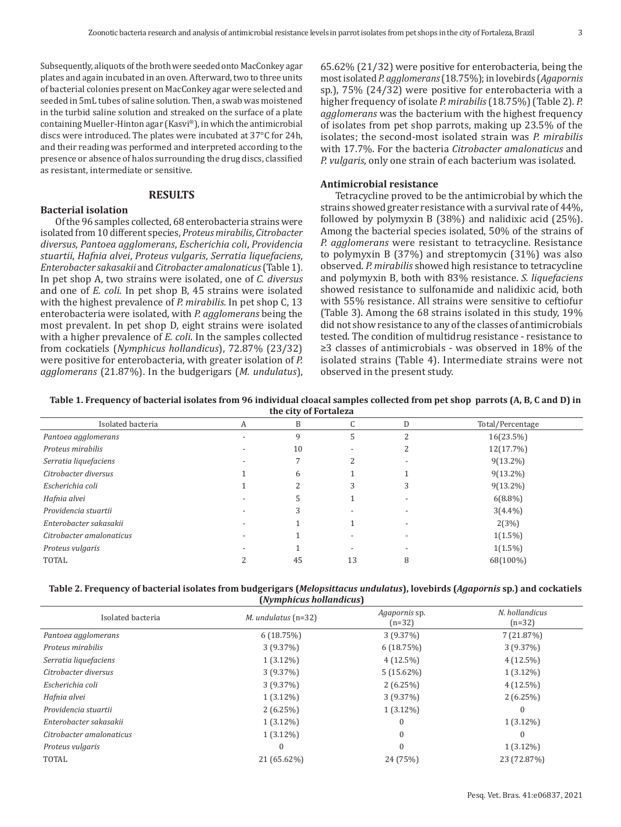Subsequently, aliquots of the broth were seeded onto MacConkey agar plates and again incubated in an oven. Afterward, two to three units of bacterial colonies present on MacConkey agar were selected and seeded in 5mL tubes of saline solution. Then, a swab was moistened in the turbid saline solution and streaked on the surface of a plate containing Mueller-Hinton agar (Kasvi®), in which the antimicrobial discs were introduced. The plates were incubated at 37°C for 24h, and their reading was performed and interpreted according to the presence or absence of halos surrounding the drug discs, classified as resistant, intermediate or sensitive.

## **RESULTS**

# **Bacterial isolation**

Of the 96 samples collected, 68 enterobacteria strains were isolated from 10 different species, *Proteus mirabilis*, *Citrobacter diversus*, *Pantoea agglomerans*, *Escherichia coli*, *Providencia stuartii*, *Hafnia alvei*, *Proteus vulgaris*, *Serratia liquefaciens*, *Enterobacter sakasakii* and *Citrobacter amalonaticus* (Table 1). In pet shop A, two strains were isolated, one of *C. diversus* and one of *E. coli*. In pet shop B, 45 strains were isolated with the highest prevalence of *P. mirabilis.* In pet shop C, 13 enterobacteria were isolated, with *P. agglomerans* being the most prevalent. In pet shop D, eight strains were isolated with a higher prevalence of *E. coli*. In the samples collected from cockatiels (*Nymphicus hollandicus*), 72.87% (23/32) were positive for enterobacteria, with greater isolation of *P. agglomerans* (21.87%). In the budgerigars (*M. undulatus*),

65.62% (21/32) were positive for enterobacteria, being the most isolated *P. agglomerans* (18.75%); in lovebirds (*Agapornis* sp.), 75% (24/32) were positive for enterobacteria with a higher frequency of isolate *P. mirabilis* (18.75%) (Table 2). *P. agglomerans* was the bacterium with the highest frequency of isolates from pet shop parrots, making up 23.5% of the isolates; the second-most isolated strain was *P. mirabilis* with 17.7%. For the bacteria *Citrobacter amalonaticus* and *P. vulgaris*, only one strain of each bacterium was isolated.

#### **Antimicrobial resistance**

Tetracycline proved to be the antimicrobial by which the strains showed greater resistance with a survival rate of 44%, followed by polymyxin B (38%) and nalidixic acid (25%). Among the bacterial species isolated, 50% of the strains of *P. agglomerans* were resistant to tetracycline. Resistance to polymyxin B (37%) and streptomycin (31%) was also observed. *P. mirabilis* showed high resistance to tetracycline and polymyxin B, both with 83% resistance. *S. liquefaciens* showed resistance to sulfonamide and nalidixic acid, both with 55% resistance. All strains were sensitive to ceftiofur (Table 3). Among the 68 strains isolated in this study, 19% did not show resistance to any of the classes of antimicrobials tested. The condition of multidrug resistance - resistance to ≥3 classes of antimicrobials - was observed in 18% of the isolated strains (Table 4). Intermediate strains were not observed in the present study.

**Table 1. Frequency of bacterial isolates from 96 individual cloacal samples collected from pet shop parrots (A, B, C and D) in the city of Fortaleza**

| the thy of fortaleza     |   |    |    |   |                  |
|--------------------------|---|----|----|---|------------------|
| Isolated bacteria        | А | B  | U  | D | Total/Percentage |
| Pantoea agglomerans      |   | 9  | ל. |   | 16(23.5%)        |
| Proteus mirabilis        |   | 10 |    |   | 12(17.7%)        |
| Serratia liquefaciens    |   |    |    |   | $9(13.2\%)$      |
| Citrobacter diversus     |   | 6  |    |   | $9(13.2\%)$      |
| Escherichia coli         |   |    |    | 3 | $9(13.2\%)$      |
| Hafnia alvei             |   | :כ |    |   | $6(8.8\%)$       |
| Providencia stuartii     |   | 3  |    |   | $3(4.4\%)$       |
| Enterobacter sakasakii   |   |    |    |   | 2(3%)            |
| Citrobacter amalonaticus |   |    |    |   | $1(1.5\%)$       |
| Proteus vulgaris         |   |    |    |   | $1(1.5\%)$       |
| <b>TOTAL</b>             |   | 45 | 13 | 8 | 68(100%)         |
|                          |   |    |    |   |                  |

| Table 2. Frequency of bacterial isolates from budgerigars (Melopsittacus undulatus), lovebirds (Agapornis sp.) and cockatiels |
|-------------------------------------------------------------------------------------------------------------------------------|
| (Nymphicus hollandicus)                                                                                                       |

| Isolated bacteria        | $M.$ undulatus (n=32) | Agapornis sp.<br>$(n=32)$ | N. hollandicus<br>$(n=32)$ |  |  |
|--------------------------|-----------------------|---------------------------|----------------------------|--|--|
| Pantoea agglomerans      | 6(18.75%)             | 3(9.37%)                  | 7(21.87%)                  |  |  |
| Proteus mirabilis        | 3(9.37%)              | 6(18.75%)                 | 3(9.37%)                   |  |  |
| Serratia liquefaciens    | $1(3.12\%)$           | $4(12.5\%)$               | $4(12.5\%)$                |  |  |
| Citrobacter diversus     | 3(9.37%)              | $5(15.62\%)$              | $1(3.12\%)$                |  |  |
| Escherichia coli         | $3(9.37\%)$           | 2(6.25%)                  | $4(12.5\%)$                |  |  |
| Hafnia alvei             | $1(3.12\%)$           | $3(9.37\%)$               | 2(6.25%)                   |  |  |
| Providencia stuartii     | 2(6.25%)              | $1(3.12\%)$               | $\Omega$                   |  |  |
| Enterobacter sakasakii   | $1(3.12\%)$           | $\Omega$                  | $1(3.12\%)$                |  |  |
| Citrobacter amalonaticus | $1(3.12\%)$           | $\Omega$                  | $\Omega$                   |  |  |
| Proteus vulgaris         |                       | $\Omega$                  | $1(3.12\%)$                |  |  |
| <b>TOTAL</b>             | 21 (65.62%)           | 24 (75%)                  | 23 (72.87%)                |  |  |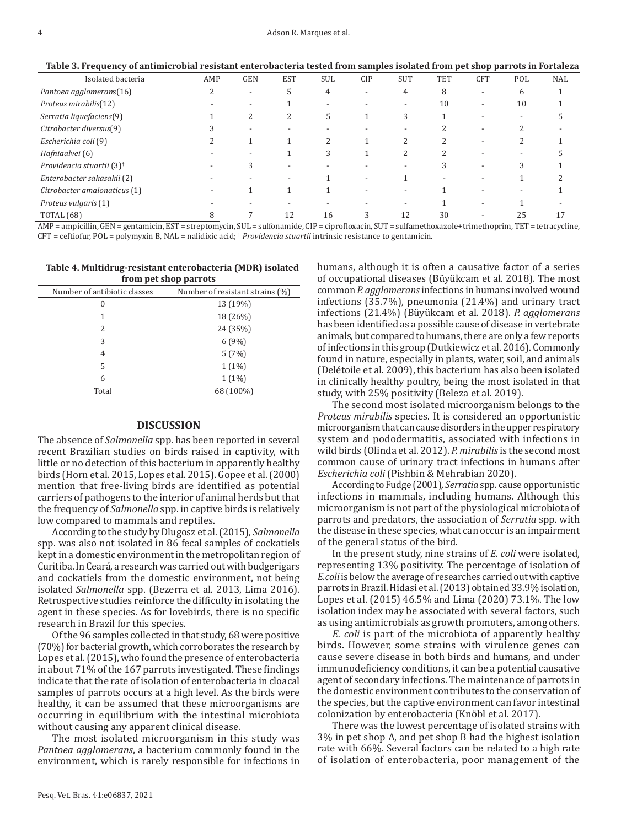**Table 3. Frequency of antimicrobial resistant enterobacteria tested from samples isolated from pet shop parrots in Fortaleza**

| Isolated bacteria                                      | AMP | <b>GEN</b> | <b>EST</b>               | <b>SUL</b> | <b>CIP</b>               | <b>SUT</b> | <b>TET</b> | <b>CFT</b>               | POL | <b>NAL</b> |
|--------------------------------------------------------|-----|------------|--------------------------|------------|--------------------------|------------|------------|--------------------------|-----|------------|
| Pantoea agglomerans(16)                                |     |            | $\mathcal{D}$            | 4          |                          | 4          | 8          |                          | b   |            |
| Proteus mirabilis(12)                                  |     |            |                          |            |                          |            | 10         |                          | 10  |            |
| Serratia liquefaciens(9)                               |     |            | ∠                        | C.         |                          | 3          |            |                          |     |            |
| Citrobacter diversus(9)                                |     |            |                          |            |                          |            |            |                          |     |            |
| Escherichia coli (9)                                   |     |            |                          |            |                          |            |            | $\overline{\phantom{0}}$ |     |            |
| Hafniaalvei (6)                                        |     |            |                          | 3          |                          |            |            |                          |     |            |
| Providencia stuartii (3) <sup>†</sup>                  |     |            | -                        |            |                          |            |            |                          |     |            |
| Enterobacter sakasakii (2)                             |     |            | $\overline{\phantom{a}}$ |            | $\overline{\phantom{0}}$ |            |            |                          |     |            |
| Citrobacter amalonaticus (1)                           |     |            |                          |            |                          |            |            |                          |     |            |
| Proteus vulgaris (1)                                   |     |            |                          |            |                          |            |            |                          |     |            |
| <b>TOTAL (68)</b><br>and the company of the company of |     | -----      | 12                       | 16         |                          | 12         | 30         |                          |     |            |

AMP = ampicillin, GEN = gentamicin, EST = streptomycin, SUL = sulfonamide, CIP = ciprofloxacin, SUT = sulfamethoxazole+trimethoprim, TET = tetracycline, CFT = ceftiofur, POL = polymyxin B, NAL = nalidixic acid; † *Providencia stuartii* intrinsic resistance to gentamicin.

| Table 4. Multidrug-resistant enterobacteria (MDR) isolated |
|------------------------------------------------------------|
| from pet shop parrots                                      |

|                              | . .                             |
|------------------------------|---------------------------------|
| Number of antibiotic classes | Number of resistant strains (%) |
| 0                            | 13 (19%)                        |
| 1                            | 18 (26%)                        |
| 2                            | 24 (35%)                        |
| 3                            | 6(9%)                           |
| 4                            | 5(7%)                           |
| 5                            | $1(1\%)$                        |
| 6                            | $1(1\%)$                        |
| Total                        | 68 (100%)                       |
|                              |                                 |

#### **DISCUSSION**

The absence of *Salmonella* spp. has been reported in several recent Brazilian studies on birds raised in captivity, with little or no detection of this bacterium in apparently healthy birds (Horn et al. 2015, Lopes et al. 2015). Gopee et al. (2000) mention that free-living birds are identified as potential carriers of pathogens to the interior of animal herds but that the frequency of *Salmonella* spp. in captive birds is relatively low compared to mammals and reptiles.

According to the study by Dlugosz et al. (2015), *Salmonella* spp. was also not isolated in 86 fecal samples of cockatiels kept in a domestic environment in the metropolitan region of Curitiba. In Ceará, a research was carried out with budgerigars and cockatiels from the domestic environment, not being isolated *Salmonella* spp. (Bezerra et al. 2013, Lima 2016). Retrospective studies reinforce the difficulty in isolating the agent in these species. As for lovebirds, there is no specific research in Brazil for this species.

Of the 96 samples collected in that study, 68 were positive (70%) for bacterial growth, which corroborates the research by Lopes et al. (2015), who found the presence of enterobacteria in about 71% of the 167 parrots investigated. These findings indicate that the rate of isolation of enterobacteria in cloacal samples of parrots occurs at a high level. As the birds were healthy, it can be assumed that these microorganisms are occurring in equilibrium with the intestinal microbiota without causing any apparent clinical disease.

The most isolated microorganism in this study was *Pantoea agglomerans*, a bacterium commonly found in the environment, which is rarely responsible for infections in humans, although it is often a causative factor of a series of occupational diseases (Büyükcam et al. 2018). The most common *P. agglomerans* infections in humans involved wound infections (35.7%), pneumonia (21.4%) and urinary tract infections (21.4%) (Büyükcam et al. 2018). *P. agglomerans* has been identified as a possible cause of disease in vertebrate animals, but compared to humans, there are only a few reports of infections in this group (Dutkiewicz et al. 2016). Commonly found in nature, especially in plants, water, soil, and animals (Delétoile et al. 2009), this bacterium has also been isolated in clinically healthy poultry, being the most isolated in that study, with 25% positivity (Beleza et al. 2019).

The second most isolated microorganism belongs to the *Proteus mirabilis* species. It is considered an opportunistic microorganism that can cause disorders in the upper respiratory system and pododermatitis, associated with infections in wild birds (Olinda et al. 2012). *P. mirabilis* is the second most common cause of urinary tract infections in humans after *Escherichia coli* (Pishbin & Mehrabian 2020).

According to Fudge (2001)*, Serratia* spp. cause opportunistic infections in mammals, including humans. Although this microorganism is not part of the physiological microbiota of parrots and predators, the association of *Serratia* spp. with the disease in these species, what can occur is an impairment of the general status of the bird.

In the present study, nine strains of *E. coli* were isolated, representing 13% positivity. The percentage of isolation of *E.coli* is below the average of researches carried out with captive parrots in Brazil. Hidasi et al. (2013) obtained 33.9% isolation, Lopes et al. (2015) 46.5% and Lima (2020) 73.1%. The low isolation index may be associated with several factors, such as using antimicrobials as growth promoters, among others.

*E. coli* is part of the microbiota of apparently healthy birds. However, some strains with virulence genes can cause severe disease in both birds and humans, and under immunodeficiency conditions, it can be a potential causative agent of secondary infections. The maintenance of parrots in the domestic environment contributes to the conservation of the species, but the captive environment can favor intestinal colonization by enterobacteria (Knöbl et al. 2017).

There was the lowest percentage of isolated strains with 3% in pet shop A, and pet shop B had the highest isolation rate with 66%. Several factors can be related to a high rate of isolation of enterobacteria, poor management of the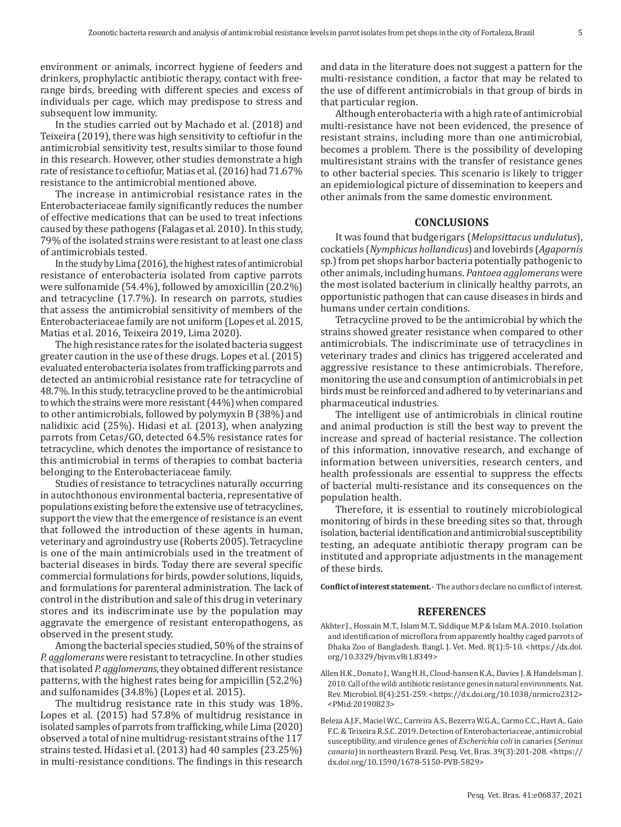environment or animals, incorrect hygiene of feeders and drinkers, prophylactic antibiotic therapy, contact with freerange birds, breeding with different species and excess of individuals per cage, which may predispose to stress and subsequent low immunity.

In the studies carried out by Machado et al. (2018) and Teixeira (2019), there was high sensitivity to ceftiofur in the antimicrobial sensitivity test, results similar to those found in this research. However, other studies demonstrate a high rate of resistance to ceftiofur, Matias et al. (2016) had 71.67% resistance to the antimicrobial mentioned above.

The increase in antimicrobial resistance rates in the Enterobacteriaceae family significantly reduces the number of effective medications that can be used to treat infections caused by these pathogens (Falagas et al. 2010). In this study, 79% of the isolated strains were resistant to at least one class of antimicrobials tested.

In the study by Lima (2016), the highest rates of antimicrobial resistance of enterobacteria isolated from captive parrots were sulfonamide (54.4%), followed by amoxicillin (20.2%) and tetracycline (17.7%). In research on parrots, studies that assess the antimicrobial sensitivity of members of the Enterobacteriaceae family are not uniform (Lopes et al. 2015, Matias et al. 2016, Teixeira 2019, Lima 2020).

The high resistance rates for the isolated bacteria suggest greater caution in the use of these drugs. Lopes et al. (2015) evaluated enterobacteria isolates from trafficking parrots and detected an antimicrobial resistance rate for tetracycline of 48.7%. In this study, tetracycline proved to be the antimicrobial to which the strains were more resistant (44%) when compared to other antimicrobials, followed by polymyxin B (38%) and nalidixic acid (25%). Hidasi et al. (2013), when analyzing parrots from Cetas/GO, detected 64.5% resistance rates for tetracycline, which denotes the importance of resistance to this antimicrobial in terms of therapies to combat bacteria belonging to the Enterobacteriaceae family.

Studies of resistance to tetracyclines naturally occurring in autochthonous environmental bacteria, representative of populations existing before the extensive use of tetracyclines, support the view that the emergence of resistance is an event that followed the introduction of these agents in human, veterinary and agroindustry use (Roberts 2005). Tetracycline is one of the main antimicrobials used in the treatment of bacterial diseases in birds. Today there are several specific commercial formulations for birds, powder solutions, liquids, and formulations for parenteral administration. The lack of control in the distribution and sale of this drug in veterinary stores and its indiscriminate use by the population may aggravate the emergence of resistant enteropathogens, as observed in the present study.

Among the bacterial species studied, 50% of the strains of *P. agglomerans* were resistant to tetracycline. In other studies that isolated *P. agglomerans*, they obtained different resistance patterns, with the highest rates being for ampicillin (52.2%) and sulfonamides (34.8%) (Lopes et al. 2015).

The multidrug resistance rate in this study was 18%. Lopes et al. (2015) had 57.8% of multidrug resistance in isolated samples of parrots from trafficking, while Lima (2020) observed a total of nine multidrug-resistant strains of the 117 strains tested. Hidasi et al. (2013) had 40 samples (23.25%) in multi-resistance conditions. The findings in this research and data in the literature does not suggest a pattern for the multi-resistance condition, a factor that may be related to the use of different antimicrobials in that group of birds in that particular region.

Although enterobacteria with a high rate of antimicrobial multi-resistance have not been evidenced, the presence of resistant strains, including more than one antimicrobial, becomes a problem. There is the possibility of developing multiresistant strains with the transfer of resistance genes to other bacterial species. This scenario is likely to trigger an epidemiological picture of dissemination to keepers and other animals from the same domestic environment.

## **CONCLUSIONS**

It was found that budgerigars (*Melopsittacus undulatus*), cockatiels (*Nymphicus hollandicus*) and lovebirds (*Agapornis* sp.) from pet shops harbor bacteria potentially pathogenic to other animals, including humans. *Pantoea agglomerans* were the most isolated bacterium in clinically healthy parrots, an opportunistic pathogen that can cause diseases in birds and humans under certain conditions.

Tetracycline proved to be the antimicrobial by which the strains showed greater resistance when compared to other antimicrobials. The indiscriminate use of tetracyclines in veterinary trades and clinics has triggered accelerated and aggressive resistance to these antimicrobials. Therefore, monitoring the use and consumption of antimicrobials in pet birds must be reinforced and adhered to by veterinarians and pharmaceutical industries.

The intelligent use of antimicrobials in clinical routine and animal production is still the best way to prevent the increase and spread of bacterial resistance. The collection of this information, innovative research, and exchange of information between universities, research centers, and health professionals are essential to suppress the effects of bacterial multi-resistance and its consequences on the population health.

Therefore, it is essential to routinely microbiological monitoring of birds in these breeding sites so that, through isolation, bacterial identification and antimicrobial susceptibility testing, an adequate antibiotic therapy program can be instituted and appropriate adjustments in the management of these birds.

**Conflict of interest statement.**- The authors declare no conflict of interest.

### **REFERENCES**

- Akhter J., Hossain M.T., Islam M.T., Siddique M.P & Islam M.A. 2010. Isolation and identification of microflora from apparently healthy caged parrots of Dhaka Zoo of Bangladesh. Bangl. J. Vet. Med. 8(1):5-10. <https://dx.doi. org/10.3329/bjvm.v8i1.8349>
- Allen H.K., Donato J., Wang H.H., Cloud-hansen K.A., Davies J. & Handelsman J. 2010. Call of the wild: antibiotic resistance genes in natural environments. Nat. Rev. Microbiol. 8(4):251-259. <https://dx.doi.org/10.1038/nrmicro2312> <PMid:[20190823](https://pubmed.ncbi.nlm.nih.gov/20190823)>
- Beleza A.J.F., Maciel W.C., Carreira A.S., Bezerra W.G.A., Carmo C.C., Havt A., Gaio F.C. & Teixeira R.S.C. 2019. Detection of Enterobacteriaceae, antimicrobial susceptibility, and virulence genes of *Escherichia coli* in canaries (*Serinus canaria*) in northeastern Brazil. Pesq. Vet. Bras. 39(3):201-208. <https:// dx.doi.org/10.1590/1678-5150-PVB-5829>